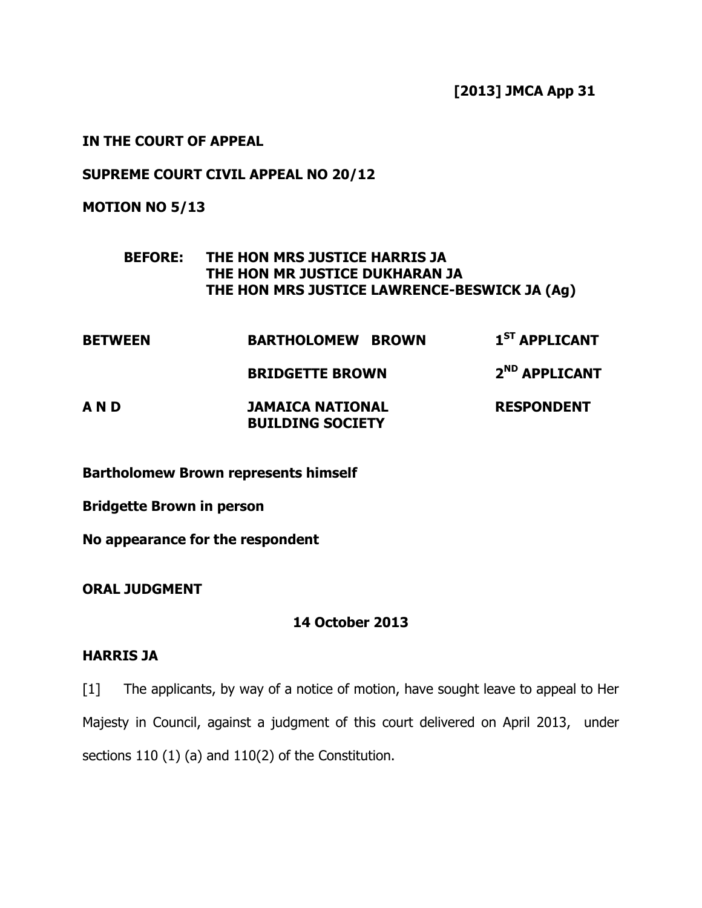[2013] JMCA App 31

IN THE COURT OF APPEAL

SUPREME COURT CIVIL APPEAL NO 20/12

MOTION NO 5/13

## BEFORE: THE HON MRS JUSTICE HARRIS JA THE HON MR JUSTICE DUKHARAN JA THE HON MRS JUSTICE LAWRENCE-BESWICK JA (Ag)

| <b>BETWEEN</b> | <b>BARTHOLOMEW BROWN</b>                           | 1 <sup>ST</sup> APPLICANT |
|----------------|----------------------------------------------------|---------------------------|
|                | <b>BRIDGETTE BROWN</b>                             | 2 <sup>ND</sup> APPLICANT |
| AND            | <b>JAMAICA NATIONAL</b><br><b>BUILDING SOCIETY</b> | <b>RESPONDENT</b>         |

Bartholomew Brown represents himself

Bridgette Brown in person

No appearance for the respondent

ORAL JUDGMENT

## 14 October 2013

## HARRIS JA

[1] The applicants, by way of a notice of motion, have sought leave to appeal to Her Majesty in Council, against a judgment of this court delivered on April 2013, under sections 110 (1) (a) and 110(2) of the Constitution.